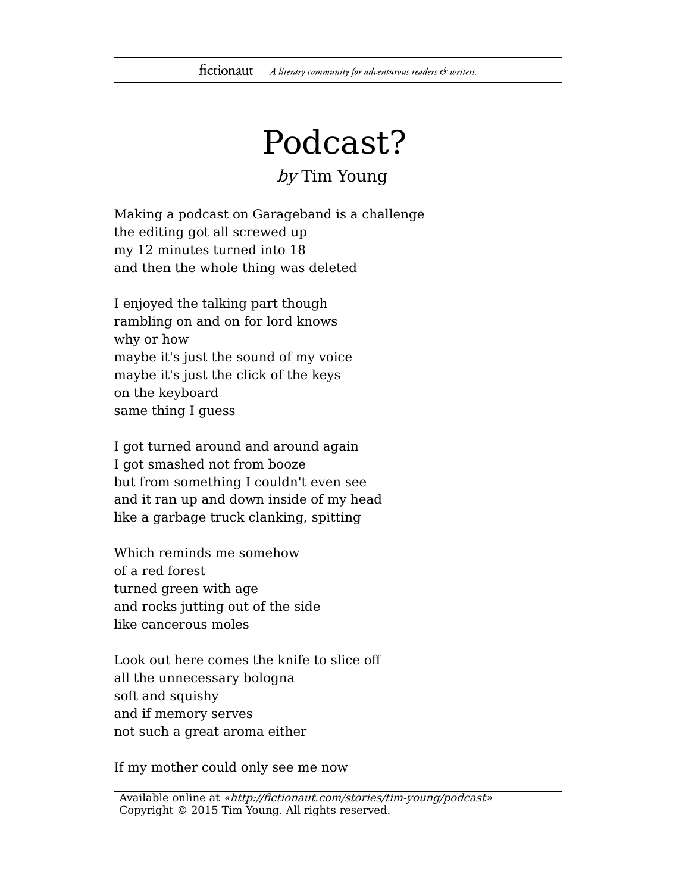## Podcast?

## by Tim Young

Making a podcast on Garageband is a challenge the editing got all screwed up my 12 minutes turned into 18 and then the whole thing was deleted

I enjoyed the talking part though rambling on and on for lord knows why or how maybe it's just the sound of my voice maybe it's just the click of the keys on the keyboard same thing I guess

I got turned around and around again I got smashed not from booze but from something I couldn't even see and it ran up and down inside of my head like a garbage truck clanking, spitting

Which reminds me somehow of a red forest turned green with age and rocks jutting out of the side like cancerous moles

Look out here comes the knife to slice off all the unnecessary bologna soft and squishy and if memory serves not such a great aroma either

If my mother could only see me now

Available online at «http://fictionaut.com/stories/tim-young/podcast» Copyright © 2015 Tim Young. All rights reserved.